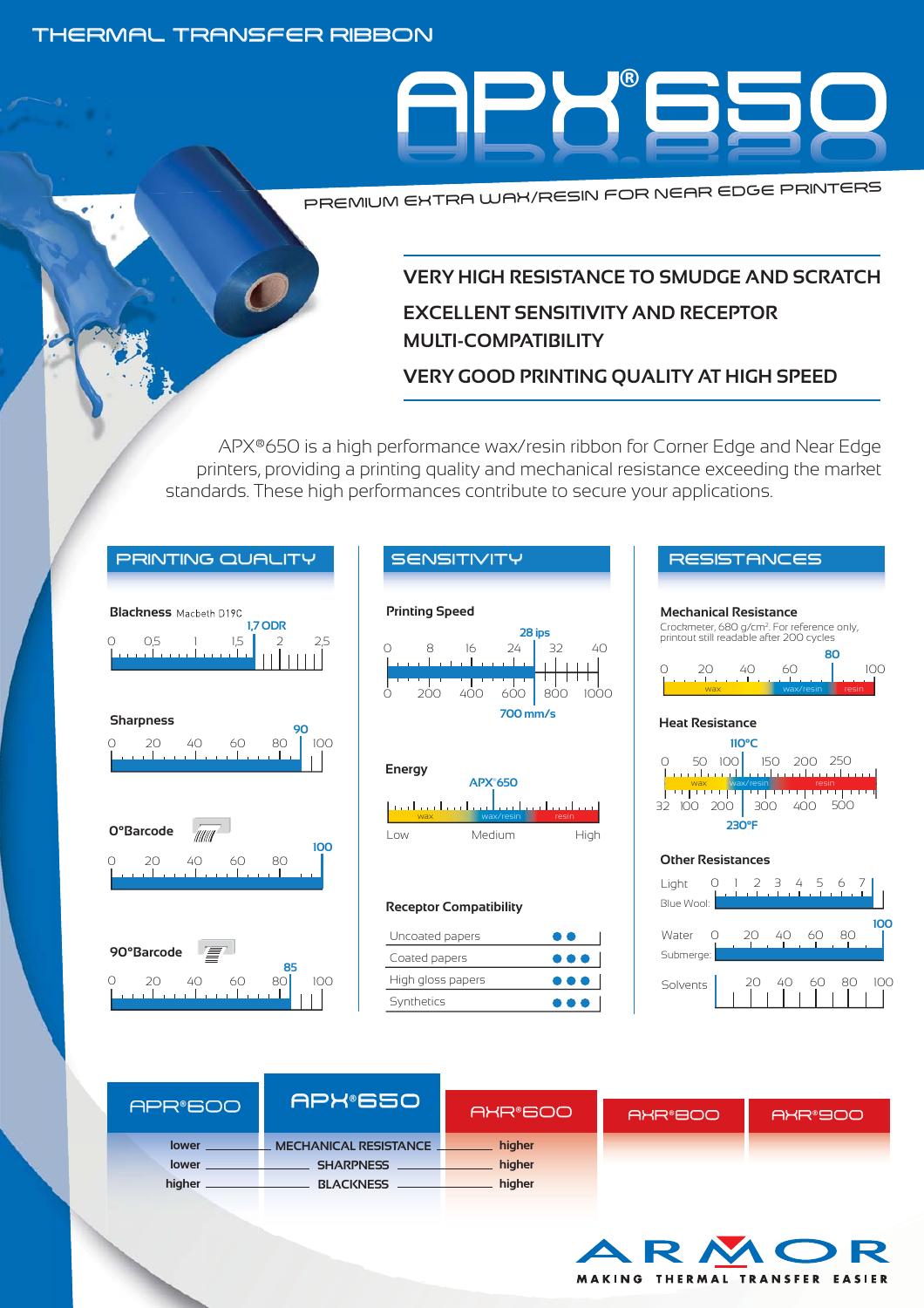### THERMAL TRANSFER RIBBON



PREMIUM EXTRA WAX/RESIN FOR NEAR EDGE PRINTERS

## **VERY HIGH RESISTANCE TO SMUDGE AND SCRATCH EXCELLENT SENSITIVITY AND RECEPTOR MULTI-COMPATIBILITY**

**VERY GOOD PRINTING QUALITY AT HIGH SPEED**

APX®650 is a high performance wax/resin ribbon for Corner Edge and Near Edge printers, providing a printing quality and mechanical resistance exceeding the market standards. These high performances contribute to secure your applications.













#### **Receptor Compatibility**

| Uncoated papers   | . .                     |
|-------------------|-------------------------|
| Coated papers     | $\bullet\bullet\bullet$ |
| High gloss papers | $\bullet\bullet\bullet$ |
| Synthetics        | $\bullet\bullet\bullet$ |





| APR®600 | <b>APX®6501</b>              | AXR®600 | AXR®800 | AXR®900 |
|---------|------------------------------|---------|---------|---------|
| lower   | <b>MECHANICAL RESISTANCE</b> | higher  |         |         |
| lower   | <b>SHARPNESS</b>             | higher  |         |         |
| higher  | <b>BLACKNESS</b>             | higher  |         |         |